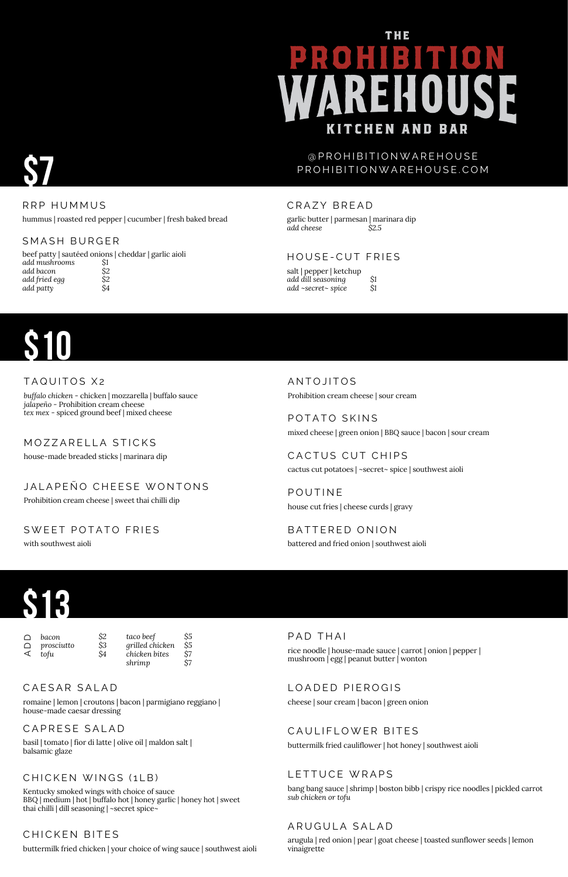# THE **KITCHEN AND BAR**

#### @ P R O H I B I T I O N W A R E H O U S E P R O H I B I T I O N W A R E H O U S E . C O M

CRAZY BREAD



RRP HUMMUS

## **\$10**

#### TAQUITOS X2

hummus | roasted red pepper | cucumber | fresh baked bread

#### MOZZARELLA STICKS

BATTERED ONION battered and fried onion | southwest aioli

| salt   pepper   ketchup |               |
|-------------------------|---------------|
| add dill seasoning      | $\mathsf{S}1$ |
| add ~secret~ spice      | <i>\$</i> 1   |

POTATO SKINS mixed cheese | green onion | BBQ sauce | bacon | sour cream

garlic butter | parmesan | marinara dip *add cheese \$2.5*

#### HOUSE-CUT FRIES

CACTUS CUT CHIPS cactus cut potatoes | ~secret~ spice | southwest aioli

beef patty | sautéed onions | cheddar | garlic aioli *add mushrooms add bacon add fried egg add patty* SMASH BURGER *\$1 \$2 \$2 \$4*

#### A N TO JITOS Prohibition cream cheese | sour cream

Prohibition cream cheese | sweet thai chilli dip

#### SWEET POTATO FRIES

with southwest aioli

LOADED PIEROGIS cheese | sour cream | bacon | green onion

#### CAULIFLOWER BITES

**POUTINE** house cut fries | cheese curds | gravy

*buffalo chicken* - chicken | mozzarella | buffalo sauce *jalapeño* - Prohibition cream cheese *tex mex* - spiced ground beef | mixed cheese

*bacon*  $\Box$ 

*prosciutto tofu* A  $\Box$ 

#### CAESAR SALAD

Kentucky smoked wings with choice of sauce BBQ | medium | hot | buffalo hot | honey garlic | honey hot | sweet thai chilli | dill seasoning | ~secret spice~

#### CHICKEN BITES

house-made breaded sticks | marinara dip

#### JALAPENO CHEESE WONTONS

arugula | red onion | pear | goat cheese | toasted sunflower seeds | lemon vinaigrette

romaine | lemon | croutons | bacon | parmigiano reggiano | house-made caesar dressing

CAPRESE SALAD

buttermilk fried chicken | your choice of wing sauce | southwest aioli

bang bang sauce | shrimp | boston bibb | crispy rice noodles | pickled carrot *sub chicken or tofu*

#### ARUGULA SALAD

buttermilk fried cauliflower | hot honey | southwest aioli

#### LETTUCE WRAPS

basil | tomato | fior di latte | olive oil | maldon salt | balsamic glaze



*\$2 \$3 \$4*

#### CHICKEN WINGS (1LB)

*taco beef grilled chicken chicken bites shrimp \$5 \$5 \$7 \$7*

PAD THAI

rice noodle | house-made sauce | carrot | onion | pepper | mushroom | egg | peanut butter | wonton